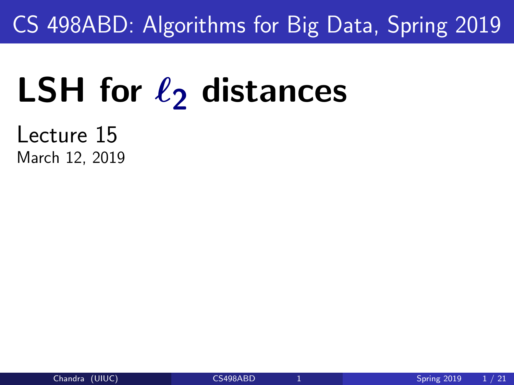### <span id="page-0-0"></span>CS 498ABD: Algorithms for Big Data, Spring 2019

# **LSH** for  $\ell_2$  distances

Lecture 15 March 12, 2019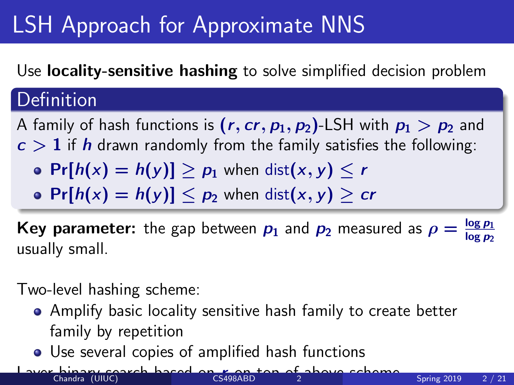# LSH Approach for Approximate NNS

#### Use locality-sensitive hashing to solve simplified decision problem

#### Definition

A family of hash functions is  $(r, cr, p_1, p_2)$ -LSH with  $p_1 > p_2$  and  $c > 1$  if h drawn randomly from the family satisfies the following:

- $Pr[h(x) = h(y)] > p_1$  when  $dist(x, y) < r$
- $Pr[h(x) = h(y)] \leq p_2$  when dist $(x, y) \geq cr$

Key parameter: the gap between  $p_1$  and  $p_2$  measured as  $\rho = \frac{\log p_1}{\log p_2}$ log  $p_2$ usually small.

Two-level hashing scheme:

- Amplify basic locality sensitive hash family to create better family by repetition
- Use several copies of amplified hash functions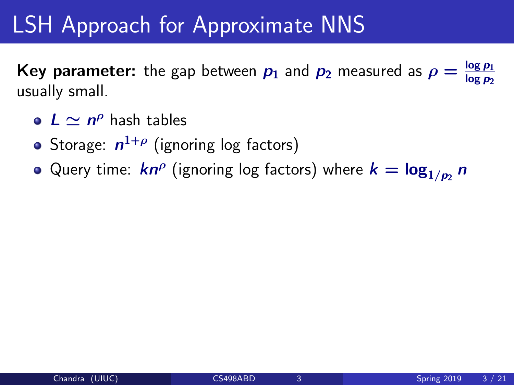# LSH Approach for Approximate NNS

Key parameter: the gap between  $p_1$  and  $p_2$  measured as  $\rho = \frac{\log p_1}{\log p_2}$  $log p_2$ usually small.

- $L \simeq n^{\rho}$  hash tables
- Storage:  $n^{1+\rho}$  (ignoring log factors)
- Query time:  $\bm{k}n^\rho$  (ignoring log factors) where  $\bm{k} = \log_{1/p_2} n$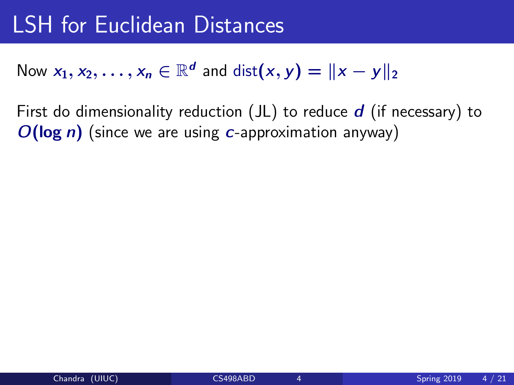# LSH for Euclidean Distances

#### Now  $x_1, x_2, \ldots, x_n \in \mathbb{R}^d$  and  $\text{dist}(x, y) = ||x - y||_2$

First do dimensionality reduction  $(JL)$  to reduce  $d$  (if necessary) to  $O(\log n)$  (since we are using c-approximation anyway)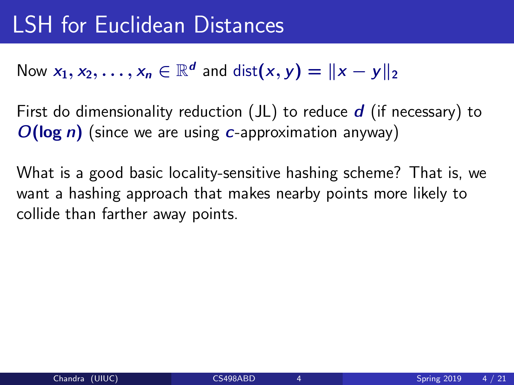#### Now  $x_1, x_2, \ldots, x_n \in \mathbb{R}^d$  and  $\text{dist}(x, y) = ||x - y||_2$

First do dimensionality reduction  $J(L)$  to reduce  $d$  (if necessary) to  $O(\log n)$  (since we are using c-approximation anyway)

What is a good basic locality-sensitive hashing scheme? That is, we want a hashing approach that makes nearby points more likely to collide than farther away points.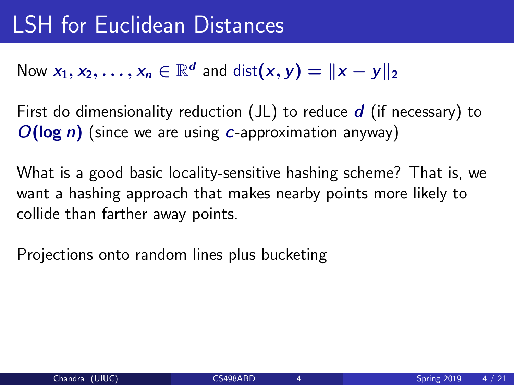#### Now  $x_1, x_2, \ldots, x_n \in \mathbb{R}^d$  and  $\text{dist}(x, y) = ||x - y||_2$

First do dimensionality reduction  $J(L)$  to reduce d (if necessary) to  $O(\log n)$  (since we are using c-approximation anyway)

What is a good basic locality-sensitive hashing scheme? That is, we want a hashing approach that makes nearby points more likely to collide than farther away points.

Projections onto random lines plus bucketing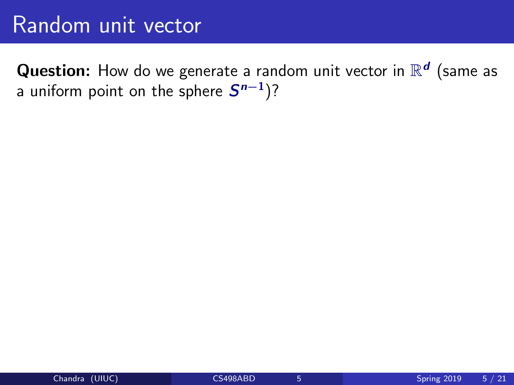**Question:** How do we generate a random unit vector in  $\mathbb{R}^d$  (same as a uniform point on the sphere  $\boldsymbol{S^{n-1}}$ )?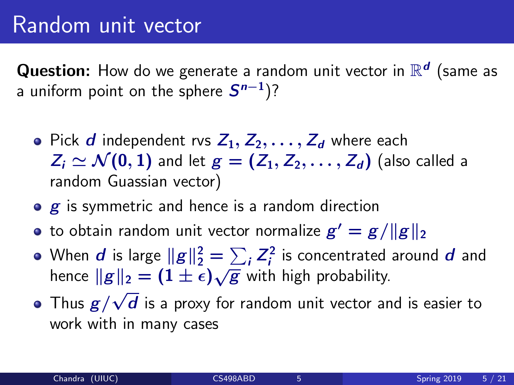#### Random unit vector

**Question:** How do we generate a random unit vector in  $\mathbb{R}^d$  (same as a uniform point on the sphere  $\boldsymbol{S^{n-1}}$ )?

- Pick d independent rvs  $Z_1, Z_2, \ldots, Z_d$  where each  $Z_i \simeq \mathcal{N}(0, 1)$  and let  $g = (Z_1, Z_2, \ldots, Z_d)$  (also called a random Guassian vector)
- $\bullet$   $\boldsymbol{g}$  is symmetric and hence is a random direction
- to obtain random unit vector normalize  $g' = g/\Vert g \Vert_2$
- When  $d$  is large  $\|g\|_2^2 = \sum_i Z_i^2$  $i^2$  is concentrated around  $\bm{d}$  and when a is large  $||g||_2 = \sum_i E_i$  is concentrated<br>hence  $||g||_2 = (1 \pm \epsilon) \sqrt{g}$  with high probability. √
- Thus  $g/$  $d$  is a proxy for random unit vector and is easier to work with in many cases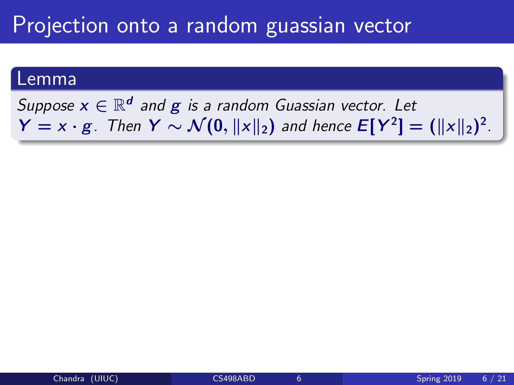#### Projection onto a random guassian vector

#### Lemma

Suppose  $x \in \mathbb{R}^d$  and  $g$  is a random Guassian vector. Let  $Y = x \cdot g$ . Then  $Y \sim \mathcal{N}(0, \|x\|_2)$  and hence  $E[Y^2] = (\|x\|_2)^2$ .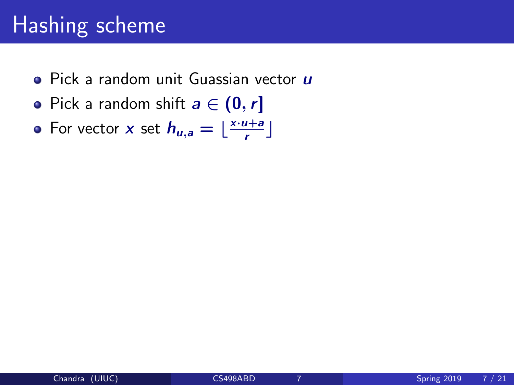### Hashing scheme

- $\bullet$  Pick a random unit Guassian vector  $\boldsymbol{u}$
- Pick a random shift  $a \in (0, r]$
- For vector x set  $h_{u,a} = \lfloor \frac{x \cdot u + a}{r} \rfloor$  $\frac{1+a}{r}$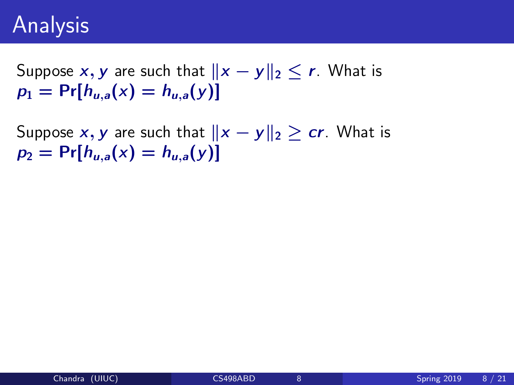Suppose x, y are such that  $||x - y||_2 \le r$ . What is  $p_1 = Pr[h_{u,a}(x) = h_{u,a}(y)]$ 

Suppose x, y are such that  $||x - y||_2 > cr$ . What is  $p_2 = Pr[h_{\mu,a}(x) = h_{\mu,a}(y)]$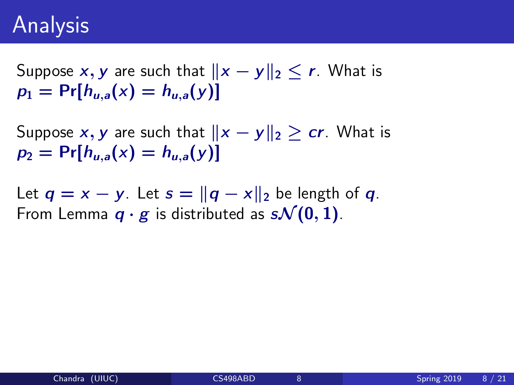Suppose x, y are such that  $||x - y||_2 \le r$ . What is  $p_1 = Pr[h_{\mu,a}(x) = h_{\mu,a}(y)]$ 

Suppose x, y are such that  $||x - y||_2 > cr$ . What is  $p_2 = Pr[h_{u,a}(x) = h_{u,a}(y)]$ 

Let  $q = x - y$ . Let  $s = ||q - x||_2$  be length of q. From Lemma  $q \cdot g$  is distributed as  $s\mathcal{N}(0, 1)$ .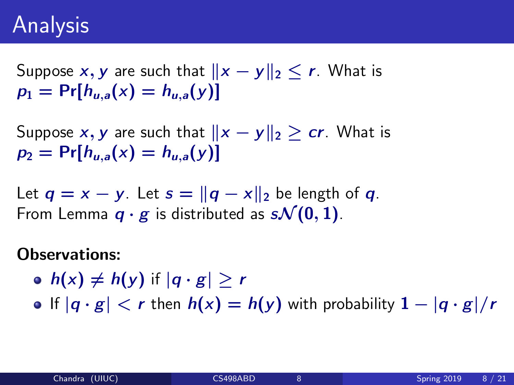Suppose x, y are such that  $||x - y||_2 \le r$ . What is  $p_1 = Pr[h_{\mu,a}(x) = h_{\mu,a}(y)]$ 

Suppose x, y are such that  $||x - y||_2 > cr$ . What is  $p_2 = Pr[h_{\mu,a}(x) = h_{\mu,a}(y)]$ 

Let  $q = x - y$ . Let  $s = ||q - x||_2$  be length of q. From Lemma  $q \cdot g$  is distributed as  $s\mathcal{N}(0, 1)$ .

#### Observations:

•  $h(x) \neq h(y)$  if  $|q \cdot g| > r$ 

• If  $|q \cdot g|$  < r then  $h(x) = h(y)$  with probability  $1 - |q \cdot g|/r$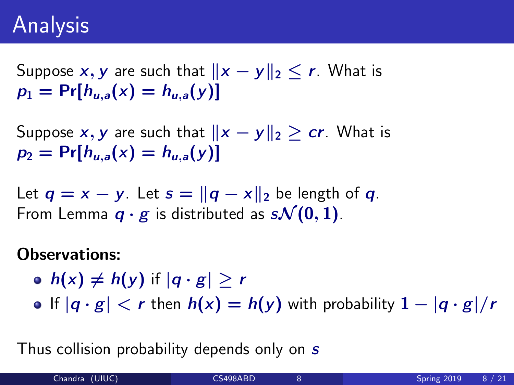Suppose x, y are such that  $||x - y||_2 \le r$ . What is  $p_1 = Pr[h_{\mu,a}(x) = h_{\mu,a}(y)]$ 

Suppose x, y are such that  $||x - y||_2 > cr$ . What is  $p_2 = Pr[h_{\mu,a}(x) = h_{\mu,a}(y)]$ 

Let  $q = x - y$ . Let  $s = ||q - x||_2$  be length of q. From Lemma  $q \cdot g$  is distributed as  $s\mathcal{N}(0, 1)$ .

#### Observations:

- $h(x) \neq h(y)$  if  $|q \cdot g| > r$
- If  $|q \cdot g|$  < r then  $h(x) = h(y)$  with probability  $1 |q \cdot g|/r$

Thus collision probability depends only on s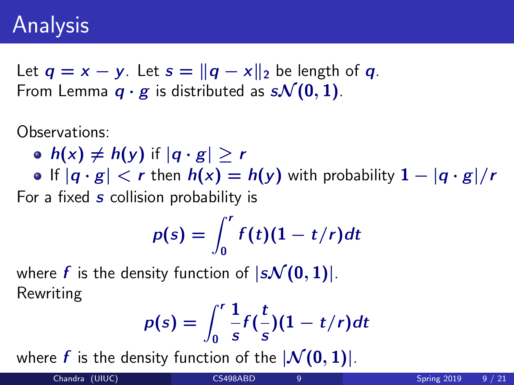Let  $q = x - y$ . Let  $s = ||q - x||_2$  be length of q. From Lemma  $q \cdot g$  is distributed as  $s\mathcal{N}(0, 1)$ .

Observations:

\n- • 
$$
h(x) \neq h(y)
$$
 if  $|q \cdot g| \geq r$
\n- • If  $|q \cdot g| < r$  then  $h(x) = h(y)$  with probability  $1 - |q \cdot g|/r$
\n

For a fixed s collision probability is

$$
p(s) = \int_0^r f(t)(1-t/r)dt
$$

where f is the density function of  $|s\mathcal{N}(0, 1)|$ . Rewriting

$$
p(s) = \int_0^r \frac{1}{s} f(\frac{t}{s})(1-t/r) dt
$$

where f is the density function of the  $|\mathcal{N}(0, 1)|$ .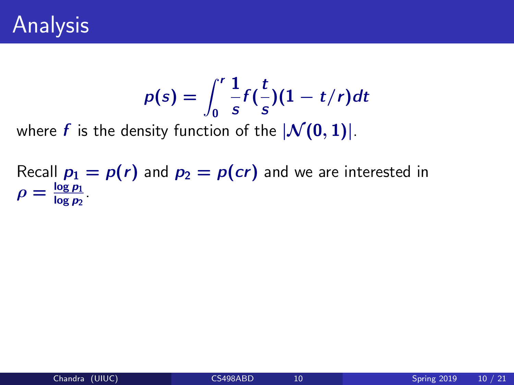$$
p(s) = \int_0^r \frac{1}{s} f(\frac{t}{s})(1-t/r) dt
$$

where f is the density function of the  $|\mathcal{N}(0, 1)|$ .

Recall  $p_1 = p(r)$  and  $p_2 = p(cr)$  and we are interested in  $\rho = \frac{\log p_1}{\log p_2}$  $\frac{\log p_1}{\log p_2}$  .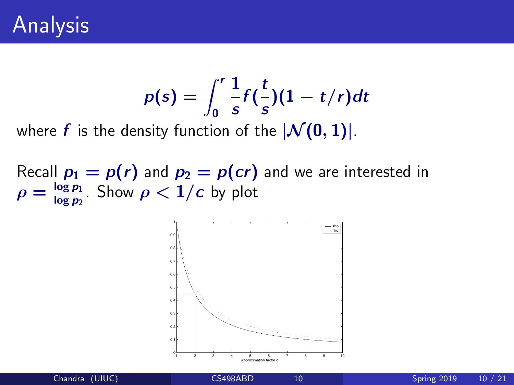$$
p(s) = \int_0^r \frac{1}{s} f(\frac{t}{s})(1-t/r) dt
$$

where f is the density function of the  $|\mathcal{N}(0, 1)|$ .

Recall  $p_1 = p(r)$  and  $p_2 = p(cr)$  and we are interested in  $\rho = \frac{\log p_1}{\log p_2}$  $\frac{\log p_1}{\log p_2}$ . Show  $\rho < 1/c$  by plot

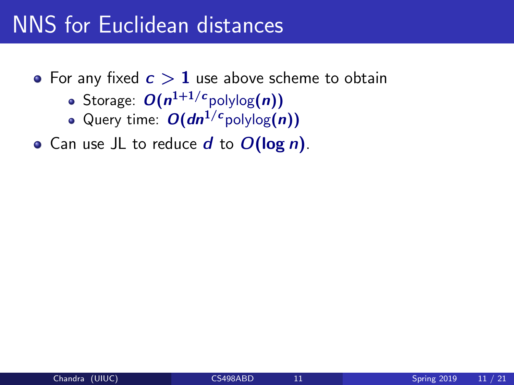#### NNS for Euclidean distances

- For any fixed  $c > 1$  use above scheme to obtain
	- Storage:  $O(n^{1+1/c}$ polylog $(n))$
	- Query time:  $O(dn^{1/c}$ polylog $(n)$ )
- Can use JL to reduce  $d$  to  $O(\log n)$ .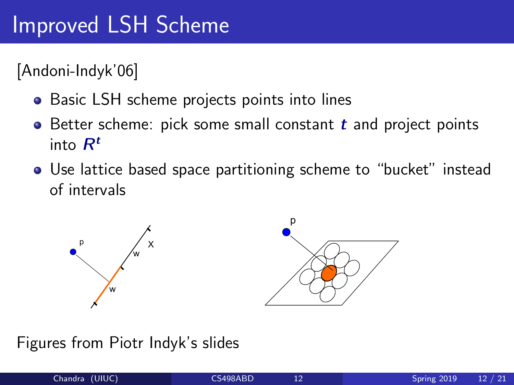[Andoni-Indyk'06]

- $\bullet$  Basic LSH scheme projects points into lines
- Better scheme: pick some small constant  $t$  and project points into  $R^t$ ١ć
- $\bullet$  Use lattice based space partitioning scheme to "bucket" instead of intervals • Use lattice based space partitioning scheme





Figures from Piotr Indyk's slides

• [Motwani-Naor-Panigrahy'06]: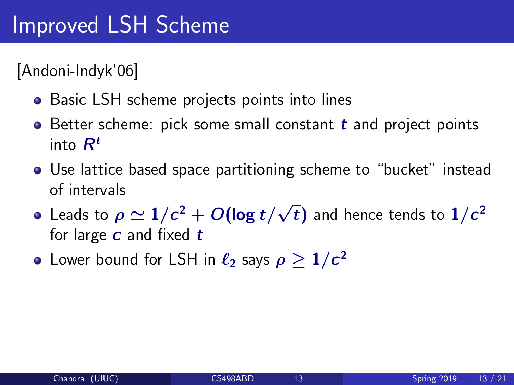[Andoni-Indyk'06]

- Basic LSH scheme projects points into lines
- $\bullet$  Better scheme: pick some small constant  $t$  and project points into  $R^t$
- Use lattice based space partitioning scheme to "bucket" instead of intervals
- Leads to  $\rho \simeq 1/c^2 + O(\log t/$ √  $\overline{t})$  and hence tends to  $1/c^2$ for large  $c$  and fixed  $t$
- Lower bound for LSH in  $\ell_2$  says  $\rho \geq 1/c^2$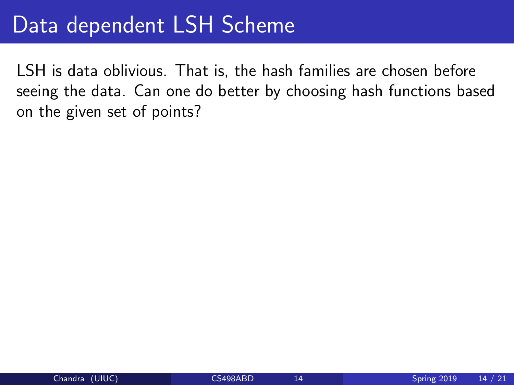#### Data dependent LSH Scheme

LSH is data oblivious. That is, the hash families are chosen before seeing the data. Can one do better by choosing hash functions based on the given set of points?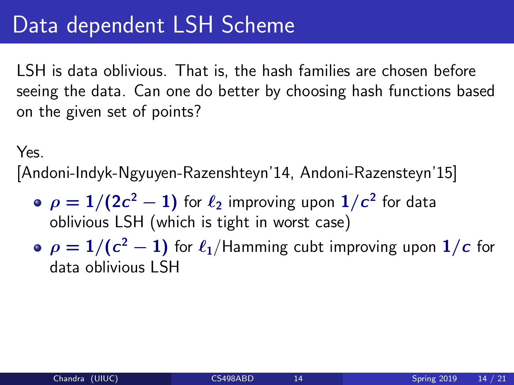### Data dependent LSH Scheme

LSH is data oblivious. That is, the hash families are chosen before seeing the data. Can one do better by choosing hash functions based on the given set of points?

Yes.

[Andoni-Indyk-Ngyuyen-Razenshteyn'14, Andoni-Razensteyn'15]

- $\rho = 1/(2c^2-1)$  for  $\ell_2$  improving upon  $1/c^2$  for data oblivious LSH (which is tight in worst case)
- $\rho = 1/(c^2-1)$  for  $\ell_1/$ Hamming cubt improving upon  $1/c$  for data oblivious LSH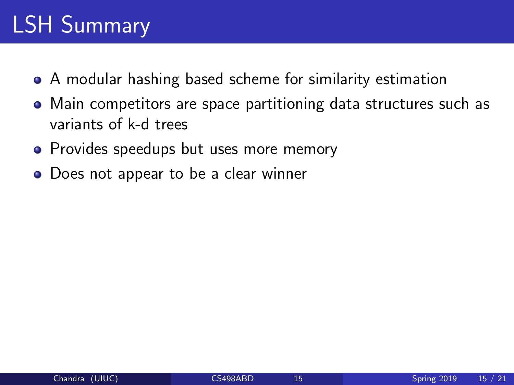# LSH Summary

- A modular hashing based scheme for similarity estimation
- Main competitors are space partitioning data structures such as variants of k-d trees
- Provides speedups but uses more memory
- Does not appear to be a clear winner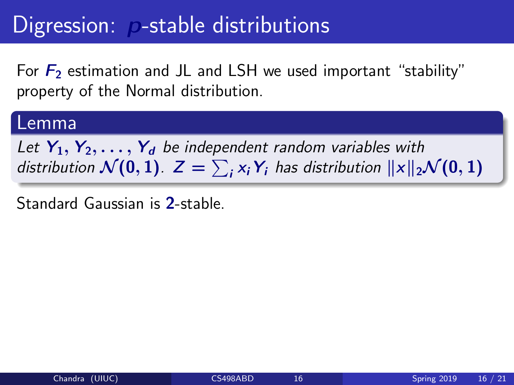### Digression: **p-stable distributions**

For  $F_2$  estimation and JL and LSH we used important "stability" property of the Normal distribution.

#### Lemma

Let  $Y_1, Y_2, \ldots, Y_d$  be independent random variables with distribution  $\mathcal{N}(0,1)$ .  $Z=\sum_i x_i\, \pmb{Y}_i$  has distribution  $\|x\|_2 \mathcal{N}(0,1)$ 

Standard Gaussian is 2-stable.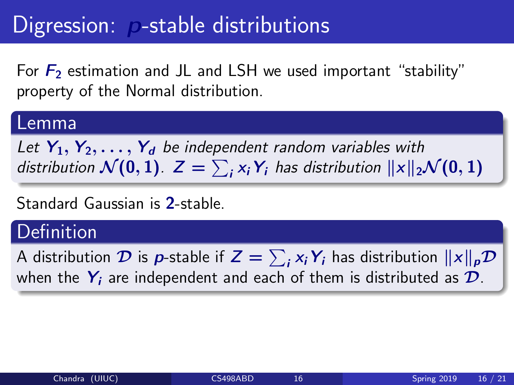# Digression: p-stable distributions

For  $F_2$  estimation and JL and LSH we used important "stability" property of the Normal distribution.

#### Lemma

Let  $Y_1, Y_2, \ldots, Y_d$  be independent random variables with distribution  $\mathcal{N}(0,1)$ .  $Z=\sum_i x_i\, \pmb{Y}_i$  has distribution  $\|x\|_2 \mathcal{N}(0,1)$ 

#### Standard Gaussian is 2-stable.

#### **Definition**

A distribution  $\cal D$  is  $\bm{\rho}$ -stable if  $\bm{Z} = \sum_{\bm{i}} \bm{x}_{\bm{i}} \bm{Y}_{\bm{i}}$  has distribution  $\|\bm{x}\|_{\bm{\rho}} \bm{\mathcal{D}}$ when the  $Y_i$  are independent and each of them is distributed as  $\mathcal{D}$ .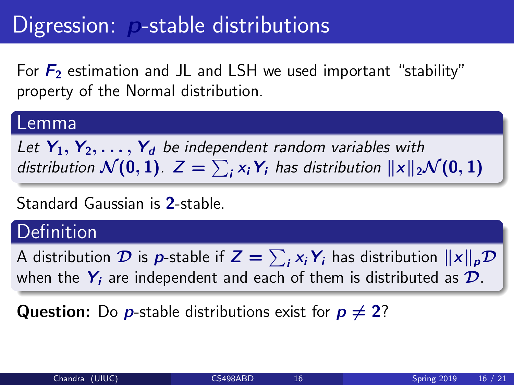# Digression: p-stable distributions

For  $F_2$  estimation and JL and LSH we used important "stability" property of the Normal distribution.

#### Lemma

Let  $Y_1, Y_2, \ldots, Y_d$  be independent random variables with distribution  $\mathcal{N}(0,1)$ .  $Z=\sum_i x_i\, \pmb{Y}_i$  has distribution  $\|x\|_2 \mathcal{N}(0,1)$ 

#### Standard Gaussian is 2-stable.

#### **Definition**

A distribution  $\cal D$  is  $\bm{\rho}$ -stable if  $\bm{Z} = \sum_{\bm{i}} \bm{x}_{\bm{i}} \bm{Y}_{\bm{i}}$  has distribution  $\|\bm{x}\|_{\bm{\rho}} \bm{\mathcal{D}}$ when the  $Y_i$  are independent and each of them is distributed as  $\mathcal{D}$ .

**Question:** Do **p**-stable distributions exist for  $p \neq 2$ ?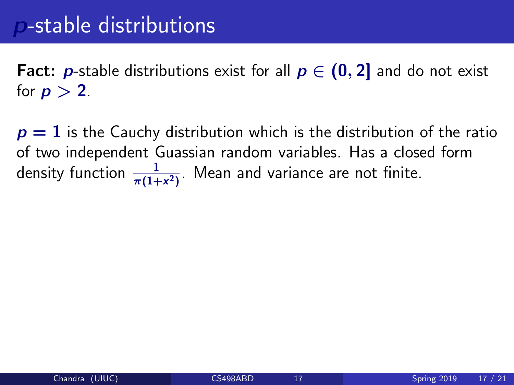**Fact:** *p*-stable distributions exist for all  $p \in (0, 2]$  and do not exist for  $p > 2$ .

 $p = 1$  is the Cauchy distribution which is the distribution of the ratio of two independent Guassian random variables. Has a closed form density function  $\frac{1}{\pi(1+x^2)}$ . Mean and variance are not finite.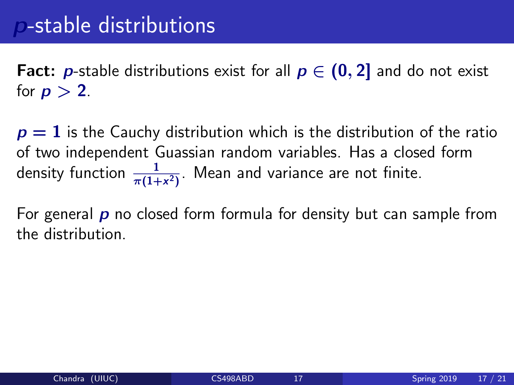**Fact:** *p*-stable distributions exist for all  $p \in (0, 2]$  and do not exist for  $p > 2$ .

 $p = 1$  is the Cauchy distribution which is the distribution of the ratio of two independent Guassian random variables. Has a closed form density function  $\frac{1}{\pi(1+x^2)}$ . Mean and variance are not finite.

For general  $\boldsymbol{p}$  no closed form formula for density but can sample from the distribution.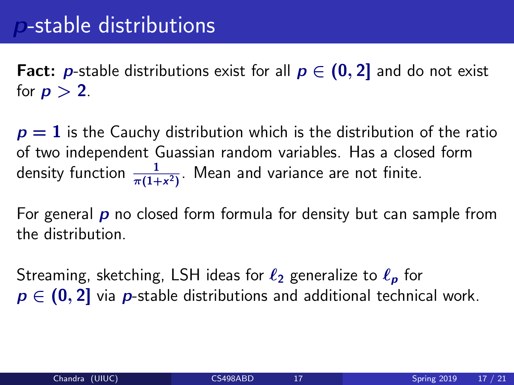**Fact:** *p*-stable distributions exist for all  $p \in (0, 2]$  and do not exist for  $p > 2$ .

 $p = 1$  is the Cauchy distribution which is the distribution of the ratio of two independent Guassian random variables. Has a closed form density function  $\frac{1}{\pi(1+x^2)}$ . Mean and variance are not finite.

For general  $\boldsymbol{p}$  no closed form formula for density but can sample from the distribution.

Streaming, sketching, LSH ideas for  $\ell_2$  generalize to  $\ell_p$  for  $p \in (0, 2]$  via p-stable distributions and additional technical work.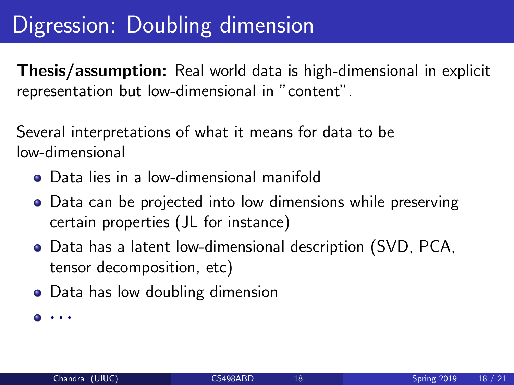# Digression: Doubling dimension

Thesis/assumption: Real world data is high-dimensional in explicit representation but low-dimensional in "content".

Several interpretations of what it means for data to be low-dimensional

- Data lies in a low-dimensional manifold
- Data can be projected into low dimensions while preserving certain properties (JL for instance)
- Data has a latent low-dimensional description (SVD, PCA, tensor decomposition, etc)
- Data has low doubling dimension

 $\bullet \cdot \cdot \cdot$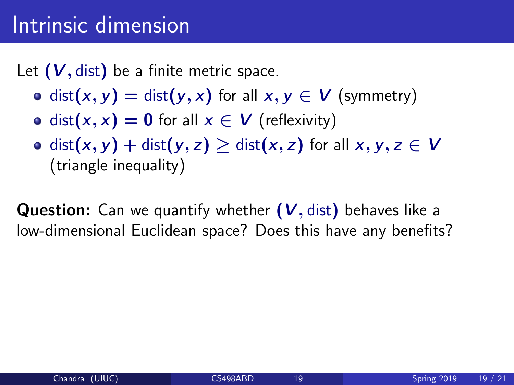#### Intrinsic dimension

Let  $(V, dist)$  be a finite metric space.

- o dist(x, y) = dist(y, x) for all  $x, y \in V$  (symmetry)
- dist(x, x) = 0 for all  $x \in V$  (reflexivity)
- o dist(x, y) + dist(y, z) > dist(x, z) for all  $x, y, z \in V$ (triangle inequality)

**Question:** Can we quantify whether  $(V, dist)$  behaves like a low-dimensional Euclidean space? Does this have any benefits?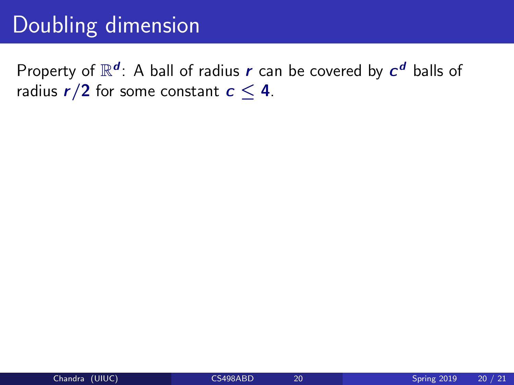# Doubling dimension

Property of  $\mathbb{R}^d$ : A ball of radius  $r$  can be covered by  $c^d$  balls of radius  $r/2$  for some constant  $c < 4$ .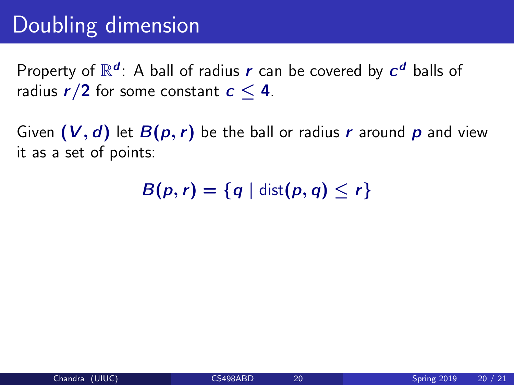# Doubling dimension

Property of  $\mathbb{R}^d$ : A ball of radius  $r$  can be covered by  $c^d$  balls of radius  $r/2$  for some constant  $c < 4$ .

Given  $(V, d)$  let  $B(p, r)$  be the ball or radius r around p and view it as a set of points:

 $B(p, r) = \{q \mid \text{dist}(p, q) \leq r\}$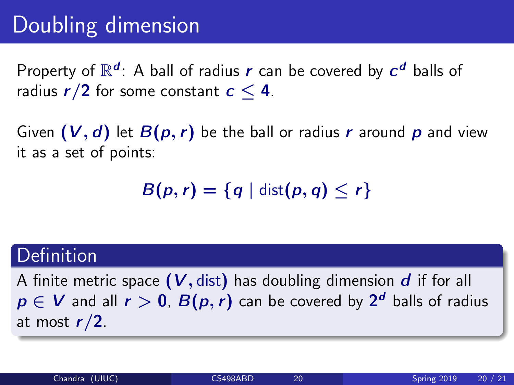# Doubling dimension

Property of  $\mathbb{R}^d$ : A ball of radius  $r$  can be covered by  $c^d$  balls of radius  $r/2$  for some constant  $c < 4$ .

Given  $(V, d)$  let  $B(p, r)$  be the ball or radius r around p and view it as a set of points:

 $B(p, r) = \{q \mid \text{dist}(p, q) \leq r\}$ 

#### Definition

A finite metric space  $(V, dist)$  has doubling dimension  $d$  if for all  $p \in V$  and all  $r > 0$ ,  $B(p,r)$  can be covered by  $2^d$  balls of radius at most  $r/2$ .